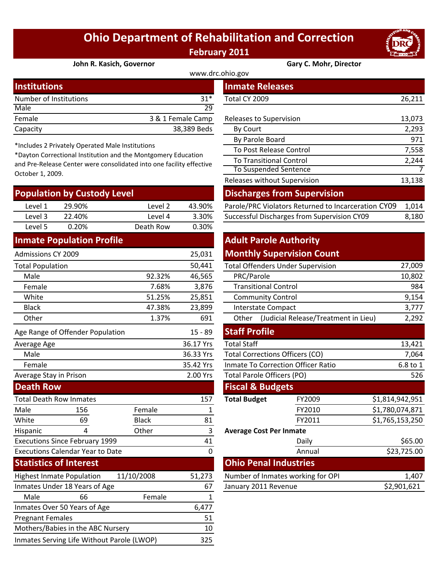# **Ohio Department of Rehabilitation and Correction February 2011**



#### **John R. Kasich, Governor Gary C. Mohr, Director**

| www.drc.ohio.gov       |                   |                         |        |  |
|------------------------|-------------------|-------------------------|--------|--|
| <b>Institutions</b>    |                   | <b>Inmate Releases</b>  |        |  |
| Number of Institutions | $31*$             | Total CY 2009           | 26,211 |  |
| Male                   | 29                |                         |        |  |
| Female                 | 3 & 1 Female Camp | Releases to Supervision | 13,073 |  |
| Capacity               | 38,389 Beds       | By Court                | 2,293  |  |

\*Includes 2 Privately Operated Male Institutions

\*Dayton Correctional Institution and the Montgomery Education and Pre‐Release Center were consolidated into one facility effective October 1, 2009.

|                                         | <b>Population by Custody Level</b>         |              |                |                                            | <b>Discharges from Supervision</b>                  |                 |          |
|-----------------------------------------|--------------------------------------------|--------------|----------------|--------------------------------------------|-----------------------------------------------------|-----------------|----------|
| Level 1                                 | 29.90%                                     | Level 2      | 43.90%         |                                            | Parole/PRC Violators Returned to Incarceration CY09 |                 | 1,014    |
| Level 3                                 | 22.40%                                     | Level 4      | 3.30%          |                                            | Successful Discharges from Supervision CY09         |                 | 8,180    |
| Level 5                                 | 0.20%                                      | Death Row    | 0.30%          |                                            |                                                     |                 |          |
|                                         | <b>Inmate Population Profile</b>           |              |                | <b>Adult Parole Authority</b>              |                                                     |                 |          |
| <b>Admissions CY 2009</b>               |                                            |              | 25,031         |                                            | <b>Monthly Supervision Count</b>                    |                 |          |
| <b>Total Population</b>                 |                                            |              | 50,441         | <b>Total Offenders Under Supervision</b>   |                                                     |                 | 27,009   |
| Male                                    |                                            | 92.32%       | 46,565         | PRC/Parole                                 |                                                     |                 | 10,802   |
| Female                                  |                                            | 7.68%        | 3,876          | <b>Transitional Control</b>                |                                                     |                 | 984      |
| White                                   |                                            | 51.25%       | 25,851         | <b>Community Control</b>                   |                                                     |                 | 9,154    |
| <b>Black</b>                            |                                            | 47.38%       | 23,899         | <b>Interstate Compact</b>                  |                                                     | 3,777           |          |
| Other                                   |                                            | 1.37%        | 691            | Other (Judicial Release/Treatment in Lieu) |                                                     | 2,292           |          |
|                                         | Age Range of Offender Population           |              | $15 - 89$      | <b>Staff Profile</b>                       |                                                     |                 |          |
| Average Age                             |                                            |              | 36.17 Yrs      | <b>Total Staff</b>                         |                                                     |                 | 13,421   |
| Male                                    |                                            |              | 36.33 Yrs      | <b>Total Corrections Officers (CO)</b>     |                                                     |                 | 7,064    |
| Female                                  |                                            |              | 35.42 Yrs      | <b>Inmate To Correction Officer Ratio</b>  |                                                     |                 | 6.8 to 1 |
| Average Stay in Prison                  |                                            |              | 2.00 Yrs       | Total Parole Officers (PO)                 |                                                     |                 | 526      |
| <b>Death Row</b>                        |                                            |              |                | <b>Fiscal &amp; Budgets</b>                |                                                     |                 |          |
|                                         | <b>Total Death Row Inmates</b>             |              | 157            | <b>Total Budget</b>                        | FY2009                                              | \$1,814,942,951 |          |
| Male                                    | 156                                        | Female       | 1              |                                            | FY2010                                              | \$1,780,074,871 |          |
| White                                   | 69                                         | <b>Black</b> | 81             |                                            | FY2011                                              | \$1,765,153,250 |          |
| Hispanic                                | 4                                          | Other        | $\overline{3}$ | <b>Average Cost Per Inmate</b>             |                                                     |                 |          |
|                                         | <b>Executions Since February 1999</b>      |              | 41             |                                            | Daily                                               |                 | \$65.00  |
| <b>Executions Calendar Year to Date</b> |                                            | $\mathbf 0$  |                | Annual                                     |                                                     | \$23,725.00     |          |
|                                         | <b>Statistics of Interest</b>              |              |                | <b>Ohio Penal Industries</b>               |                                                     |                 |          |
|                                         | <b>Highest Inmate Population</b>           | 11/10/2008   | 51,273         |                                            | Number of Inmates working for OPI                   |                 | 1,407    |
|                                         | Inmates Under 18 Years of Age              |              | 67             | January 2011 Revenue                       |                                                     | \$2,901,621     |          |
| Male                                    | 66                                         | Female       | 1              |                                            |                                                     |                 |          |
|                                         | Inmates Over 50 Years of Age               |              | 6,477          |                                            |                                                     |                 |          |
| <b>Pregnant Females</b>                 |                                            |              | 51             |                                            |                                                     |                 |          |
|                                         | Mothers/Babies in the ABC Nursery          |              | 10             |                                            |                                                     |                 |          |
|                                         | Inmates Serving Life Without Parole (LWOP) |              | 325            |                                            |                                                     |                 |          |

| stitutions                                                                                                                                                                                        |                   |             | Tinmate Releases                                    |        |  |  |
|---------------------------------------------------------------------------------------------------------------------------------------------------------------------------------------------------|-------------------|-------------|-----------------------------------------------------|--------|--|--|
| mber of Institutions                                                                                                                                                                              |                   | $31*$       | Total CY 2009                                       | 26,211 |  |  |
| le                                                                                                                                                                                                |                   | 29          |                                                     |        |  |  |
| nale                                                                                                                                                                                              | 3 & 1 Female Camp |             | Releases to Supervision                             | 13,073 |  |  |
| acity                                                                                                                                                                                             |                   | 38,389 Beds | By Court                                            | 2,293  |  |  |
|                                                                                                                                                                                                   |                   |             | By Parole Board                                     | 971    |  |  |
| cludes 2 Privately Operated Male Institutions<br>lyton Correctional Institution and the Montgomery Education<br>Pre-Release Center were consolidated into one facility effective<br>ober 1, 2009. |                   |             | To Post Release Control                             | 7,558  |  |  |
|                                                                                                                                                                                                   |                   |             | <b>To Transitional Control</b>                      | 2,244  |  |  |
|                                                                                                                                                                                                   |                   |             | <b>To Suspended Sentence</b>                        | 7      |  |  |
|                                                                                                                                                                                                   |                   |             | Releases without Supervision                        | 13,138 |  |  |
| pulation by Custody Level                                                                                                                                                                         |                   |             | <b>Discharges from Supervision</b>                  |        |  |  |
| Level 1<br>29.90%                                                                                                                                                                                 | Level 2           | 43.90%      | Parole/PRC Violators Returned to Incarceration CY09 | 1,014  |  |  |
| Level 3<br>22.40%                                                                                                                                                                                 | Level 4           | 3.30%       | Successful Discharges from Supervision CY09         | 8,180  |  |  |

## **Adult Parole Authority**

### **Monthly Supervision Count**

|        | 50,441 | <b>Total Offenders Under Supervision</b>      | 27,009 |
|--------|--------|-----------------------------------------------|--------|
| 92.32% | 46,565 | PRC/Parole                                    | 10,802 |
| 7.68%  | 3,876  | <b>Transitional Control</b>                   | 984    |
| 51.25% | 25,851 | <b>Community Control</b>                      | 9,154  |
| 47.38% | 23,899 | Interstate Compact                            | 3,777  |
| 1.37%  | 691    | (Judicial Release/Treatment in Lieu)<br>Other | 2,292  |
|        |        |                                               |        |

| $15 - 89$ | <b>Staff Profile</b>                      |          |                 |  |
|-----------|-------------------------------------------|----------|-----------------|--|
| 36.17 Yrs | <b>Total Staff</b>                        | 13,421   |                 |  |
| 36.33 Yrs | <b>Total Corrections Officers (CO)</b>    | 7,064    |                 |  |
| 35.42 Yrs | <b>Inmate To Correction Officer Ratio</b> | 6.8 to 1 |                 |  |
| 2.00 Yrs  | <b>Total Parole Officers (PO)</b>         |          | 526             |  |
|           | <b>Fiscal &amp; Budgets</b>               |          |                 |  |
| 157       | <b>Total Budget</b>                       | FY2009   | \$1,814,942,951 |  |
| 1         |                                           | FY2010   | \$1,780,074,871 |  |
| 81        |                                           | FY2011   | \$1,765,153,250 |  |
| 3         | <b>Average Cost Per Inmate</b>            |          |                 |  |
| 41        |                                           | Daily    | \$65.00         |  |
| $\Omega$  |                                           | Annual   | \$23,725.00     |  |
|           | <b>Ohio Penal Industries</b>              |          |                 |  |
| 51,273    | Number of Inmates working for OPI         |          | 1,407           |  |
| 67        | January 2011 Revenue                      |          | \$2,901,621     |  |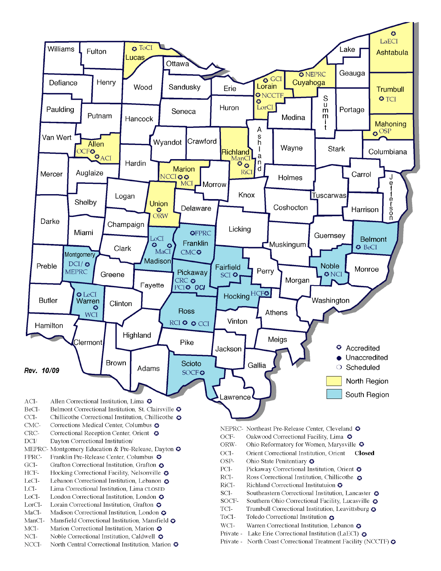